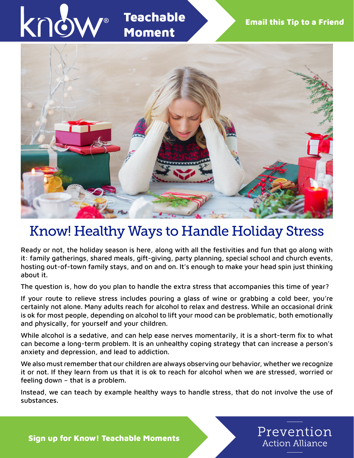

# Know! Healthy Ways to Handle Holiday Stress

Ready or not, the holiday season is here, along with all the festivities and fun that go along with it: family gatherings, shared meals, gift-giving, party planning, special school and church events, hosting out-of-town family stays, and on and on. It's enough to make your head spin just thinking about it.

The question is, how do you plan to handle the extra stress that accompanies this time of year?

If your route to relieve stress includes pouring a glass of wine or grabbing a cold beer, you're certainly not alone. Many adults reach for alcohol to relax and destress. While an occasional drink is ok for most people, depending on alcohol to lift your mood can be problematic, both emotionally and physically, for yourself and your children.

While alcohol is a sedative, and can help ease nerves momentarily, it is a short-term fix to what can become a long-term problem. It is an unhealthy coping strategy that can increase a person's anxiety and depression, and lead to addiction.

We also must remember that our children are always observing our behavior, whether we recognize it or not. If they learn from us that it is ok to reach for alcohol when we are stressed, worried or feeling down – that is a problem.

Instead, we can teach by example healthy ways to handle stress, that do not involve the use of substances.

Prevention

**Action Alliance** 

Sign up for Know! Teachable Moments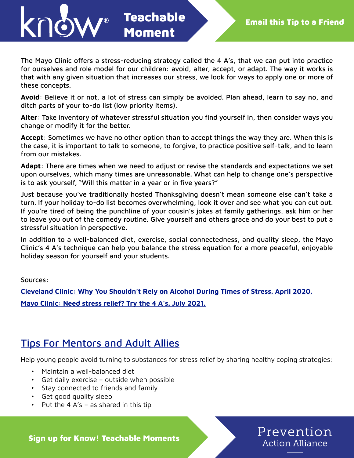

Prevention

**Action Alliance** 

The Mayo Clinic offers a stress-reducing strategy called the 4 A's, that we can put into practice for ourselves and role model for our children: avoid, alter, accept, or adapt. The way it works is that with any given situation that increases our stress, we look for ways to apply one or more of these concepts.

Teachable

Moment

**Avoid**: Believe it or not, a lot of stress can simply be avoided. Plan ahead, learn to say no, and ditch parts of your to-do list (low priority items).

**Alter**: Take inventory of whatever stressful situation you find yourself in, then consider ways you change or modify it for the better.

**Accept**: Sometimes we have no other option than to accept things the way they are. When this is the case, it is important to talk to someone, to forgive, to practice positive self-talk, and to learn from our mistakes.

**Adapt**: There are times when we need to adjust or revise the standards and expectations we set upon ourselves, which many times are unreasonable. What can help to change one's perspective is to ask yourself, "Will this matter in a year or in five years?"

Just because you've traditionally hosted Thanksgiving doesn't mean someone else can't take a turn. If your holiday to-do list becomes overwhelming, look it over and see what you can cut out. If you're tired of being the punchline of your cousin's jokes at family gatherings, ask him or her to leave you out of the comedy routine. Give yourself and others grace and do your best to put a stressful situation in perspective.

In addition to a well-balanced diet, exercise, social connectedness, and quality sleep, the Mayo Clinic's 4 A's technique can help you balance the stress equation for a more peaceful, enjoyable holiday season for yourself and your students.

Sources:

**[Cleveland Clinic: Why You Shouldn't Rely on Alcohol During Times of Stress. April 2020.](https://health.clevelandclinic.org/alcohol-during-times-of-stress/) [Mayo Clinic: Need stress relief? Try the 4 A's. July 2021.](https://www.mayoclinic.org/healthy-lifestyle/stress-management/in-depth/stress-relief/art-20044476)**

### Tips For Mentors and Adult Allies

Help young people avoid turning to substances for stress relief by sharing healthy coping strategies:

- Maintain a well-balanced diet
- Get daily exercise outside when possible
- Stay connected to friends and family
- Get good quality sleep
- Put the 4  $A$ 's as shared in this tip

Sign up for Know! Teachable Moments